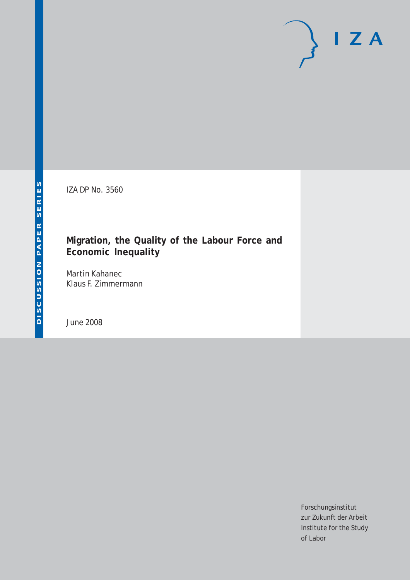IZA DP No. 3560

## **Migration, the Quality of the Labour Force and Economic Inequality**

Martin Kahanec Klaus F. Zimmermann

June 2008

Forschungsinstitut zur Zukunft der Arbeit Institute for the Study of Labor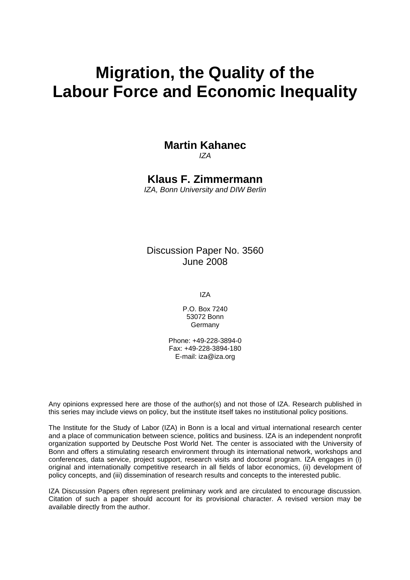# **Migration, the Quality of the Labour Force and Economic Inequality**

## **Martin Kahanec**

*IZA* 

**Klaus F. Zimmermann** 

*IZA, Bonn University and DIW Berlin* 

Discussion Paper No. 3560 June 2008

IZA

P.O. Box 7240 53072 Bonn Germany

Phone: +49-228-3894-0 Fax: +49-228-3894-180 E-mail: [iza@iza.org](mailto:iza@iza.org)

Any opinions expressed here are those of the author(s) and not those of IZA. Research published in this series may include views on policy, but the institute itself takes no institutional policy positions.

The Institute for the Study of Labor (IZA) in Bonn is a local and virtual international research center and a place of communication between science, politics and business. IZA is an independent nonprofit organization supported by Deutsche Post World Net. The center is associated with the University of Bonn and offers a stimulating research environment through its international network, workshops and conferences, data service, project support, research visits and doctoral program. IZA engages in (i) original and internationally competitive research in all fields of labor economics, (ii) development of policy concepts, and (iii) dissemination of research results and concepts to the interested public.

IZA Discussion Papers often represent preliminary work and are circulated to encourage discussion. Citation of such a paper should account for its provisional character. A revised version may be available directly from the author.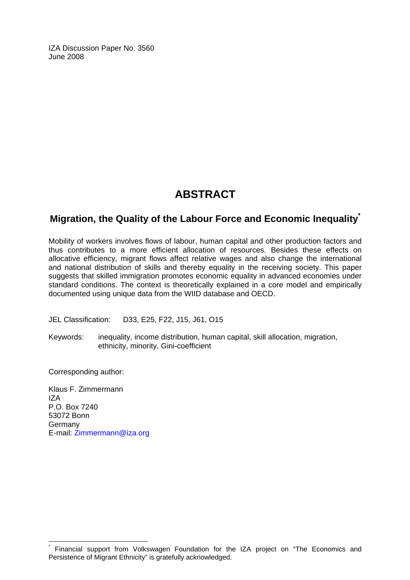IZA Discussion Paper No. 3560 June 2008

## **ABSTRACT**

### **Migration, the Quality of the Labour Force and Economic Inequality[\\*](#page-2-0)**

Mobility of workers involves flows of labour, human capital and other production factors and thus contributes to a more efficient allocation of resources. Besides these effects on allocative efficiency, migrant flows affect relative wages and also change the international and national distribution of skills and thereby equality in the receiving society. This paper suggests that skilled immigration promotes economic equality in advanced economies under standard conditions. The context is theoretically explained in a core model and empirically documented using unique data from the WIID database and OECD.

JEL Classification: D33, E25, F22, J15, J61, O15

Keywords: inequality, income distribution, human capital, skill allocation, migration, ethnicity, minority, Gini-coefficient

Corresponding author:

 $\overline{a}$ 

Klaus F. Zimmermann  $17<sub>\Delta</sub>$ P.O. Box 7240 53072 Bonn Germany E-mail: [Zimmermann@iza.org](mailto:Zimmermann@iza.org) 

<span id="page-2-0"></span><sup>\*</sup> Financial support from Volkswagen Foundation for the IZA project on "The Economics and Persistence of Migrant Ethnicity" is gratefully acknowledged.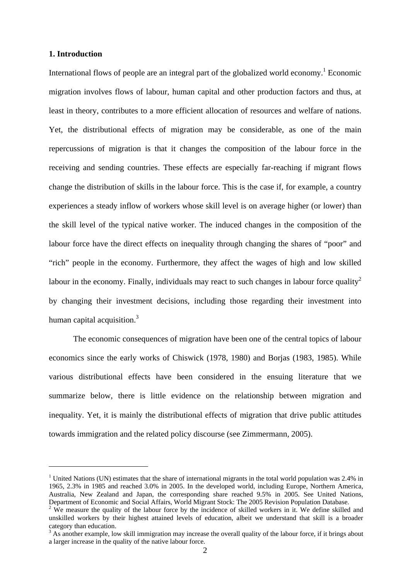#### **1. Introduction**

 $\overline{a}$ 

International flows of people are an integral part of the globalized world economy.<sup>1</sup> Economic migration involves flows of labour, human capital and other production factors and thus, at least in theory, contributes to a more efficient allocation of resources and welfare of nations. Yet, the distributional effects of migration may be considerable, as one of the main repercussions of migration is that it changes the composition of the labour force in the receiving and sending countries. These effects are especially far-reaching if migrant flows change the distribution of skills in the labour force. This is the case if, for example, a country experiences a steady inflow of workers whose skill level is on average higher (or lower) than the skill level of the typical native worker. The induced changes in the composition of the labour force have the direct effects on inequality through changing the shares of "poor" and "rich" people in the economy. Furthermore, they affect the wages of high and low skilled labour in the economy. Finally, individuals may react to such changes in labour force quality<sup>2</sup> by changing their investment decisions, including those regarding their investment into human capital acquisition.<sup>3</sup>

 The economic consequences of migration have been one of the central topics of labour economics since the early works of Chiswick (1978, 1980) and Borjas (1983, 1985). While various distributional effects have been considered in the ensuing literature that we summarize below, there is little evidence on the relationship between migration and inequality. Yet, it is mainly the distributional effects of migration that drive public attitudes towards immigration and the related policy discourse (see Zimmermann, 2005).

<sup>&</sup>lt;sup>1</sup> United Nations (UN) estimates that the share of international migrants in the total world population was 2.4% in 1965, 2.3% in 1985 and reached 3.0% in 2005. In the developed world, including Europe, Northern America, Australia, New Zealand and Japan, the corresponding share reached 9.5% in 2005. See United Nations, Department of Economic and Social Affairs, World Migrant Stock: The 2005 Revision Population Database.

 $2$  We measure the quality of the labour force by the incidence of skilled workers in it. We define skilled and unskilled workers by their highest attained levels of education, albeit we understand that skill is a broader category than education.

 $3$  As another example, low skill immigration may increase the overall quality of the labour force, if it brings about a larger increase in the quality of the native labour force.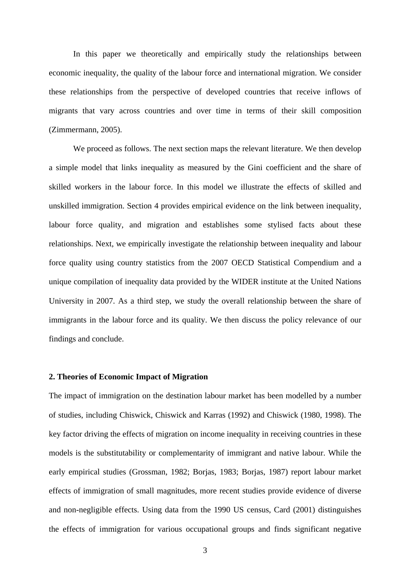In this paper we theoretically and empirically study the relationships between economic inequality, the quality of the labour force and international migration. We consider these relationships from the perspective of developed countries that receive inflows of migrants that vary across countries and over time in terms of their skill composition (Zimmermann, 2005).

We proceed as follows. The next section maps the relevant literature. We then develop a simple model that links inequality as measured by the Gini coefficient and the share of skilled workers in the labour force. In this model we illustrate the effects of skilled and unskilled immigration. Section 4 provides empirical evidence on the link between inequality, labour force quality, and migration and establishes some stylised facts about these relationships. Next, we empirically investigate the relationship between inequality and labour force quality using country statistics from the 2007 OECD Statistical Compendium and a unique compilation of inequality data provided by the WIDER institute at the United Nations University in 2007. As a third step, we study the overall relationship between the share of immigrants in the labour force and its quality. We then discuss the policy relevance of our findings and conclude.

#### **2. Theories of Economic Impact of Migration**

The impact of immigration on the destination labour market has been modelled by a number of studies, including Chiswick, Chiswick and Karras (1992) and Chiswick (1980, 1998). The key factor driving the effects of migration on income inequality in receiving countries in these models is the substitutability or complementarity of immigrant and native labour. While the early empirical studies (Grossman, 1982; Borjas, 1983; Borjas, 1987) report labour market effects of immigration of small magnitudes, more recent studies provide evidence of diverse and non-negligible effects. Using data from the 1990 US census, Card (2001) distinguishes the effects of immigration for various occupational groups and finds significant negative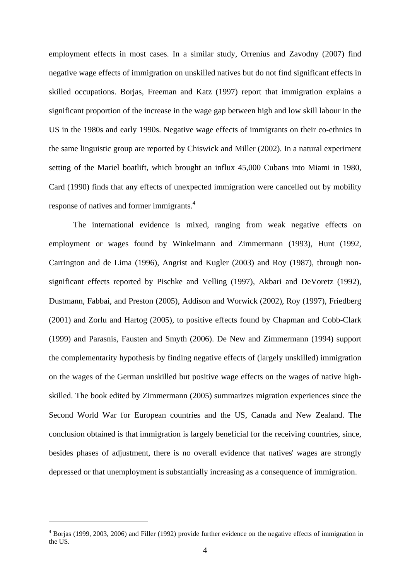employment effects in most cases. In a similar study, Orrenius and Zavodny (2007) find negative wage effects of immigration on unskilled natives but do not find significant effects in skilled occupations. Borjas, Freeman and Katz (1997) report that immigration explains a significant proportion of the increase in the wage gap between high and low skill labour in the US in the 1980s and early 1990s. Negative wage effects of immigrants on their co-ethnics in the same linguistic group are reported by Chiswick and Miller (2002). In a natural experiment setting of the Mariel boatlift, which brought an influx 45,000 Cubans into Miami in 1980, Card (1990) finds that any effects of unexpected immigration were cancelled out by mobility response of natives and former immigrants.4

 The international evidence is mixed, ranging from weak negative effects on employment or wages found by Winkelmann and Zimmermann (1993), Hunt (1992, Carrington and de Lima (1996), Angrist and Kugler (2003) and Roy (1987), through nonsignificant effects reported by Pischke and Velling (1997), Akbari and DeVoretz (1992), Dustmann, Fabbai, and Preston (2005), Addison and Worwick (2002), Roy (1997), Friedberg (2001) and Zorlu and Hartog (2005), to positive effects found by Chapman and Cobb-Clark (1999) and Parasnis, Fausten and Smyth (2006). De New and Zimmermann (1994) support the complementarity hypothesis by finding negative effects of (largely unskilled) immigration on the wages of the German unskilled but positive wage effects on the wages of native highskilled. The book edited by Zimmermann (2005) summarizes migration experiences since the Second World War for European countries and the US, Canada and New Zealand. The conclusion obtained is that immigration is largely beneficial for the receiving countries, since, besides phases of adjustment, there is no overall evidence that natives' wages are strongly depressed or that unemployment is substantially increasing as a consequence of immigration.

 $\overline{a}$ 

<sup>&</sup>lt;sup>4</sup> Borjas (1999, 2003, 2006) and Filler (1992) provide further evidence on the negative effects of immigration in the US.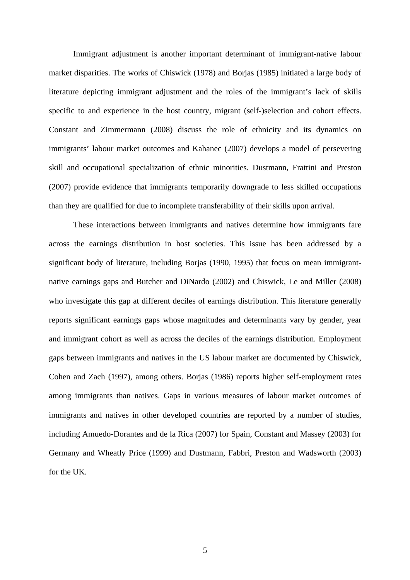Immigrant adjustment is another important determinant of immigrant-native labour market disparities. The works of Chiswick (1978) and Borjas (1985) initiated a large body of literature depicting immigrant adjustment and the roles of the immigrant's lack of skills specific to and experience in the host country, migrant (self-)selection and cohort effects. Constant and Zimmermann (2008) discuss the role of ethnicity and its dynamics on immigrants' labour market outcomes and Kahanec (2007) develops a model of persevering skill and occupational specialization of ethnic minorities. Dustmann, Frattini and Preston (2007) provide evidence that immigrants temporarily downgrade to less skilled occupations than they are qualified for due to incomplete transferability of their skills upon arrival.

 These interactions between immigrants and natives determine how immigrants fare across the earnings distribution in host societies. This issue has been addressed by a significant body of literature, including Borjas (1990, 1995) that focus on mean immigrantnative earnings gaps and Butcher and DiNardo (2002) and Chiswick, Le and Miller (2008) who investigate this gap at different deciles of earnings distribution. This literature generally reports significant earnings gaps whose magnitudes and determinants vary by gender, year and immigrant cohort as well as across the deciles of the earnings distribution. Employment gaps between immigrants and natives in the US labour market are documented by Chiswick, Cohen and Zach (1997), among others. Borjas (1986) reports higher self-employment rates among immigrants than natives. Gaps in various measures of labour market outcomes of immigrants and natives in other developed countries are reported by a number of studies, including Amuedo-Dorantes and de la Rica (2007) for Spain, Constant and Massey (2003) for Germany and Wheatly Price (1999) and Dustmann, Fabbri, Preston and Wadsworth (2003) for the UK.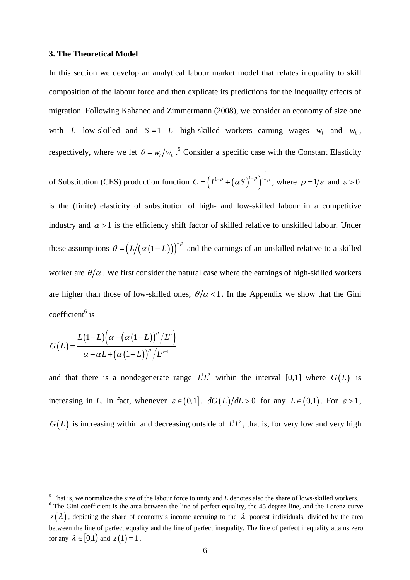#### **3. The Theoretical Model**

In this section we develop an analytical labour market model that relates inequality to skill composition of the labour force and then explicate its predictions for the inequality effects of migration. Following Kahanec and Zimmermann (2008), we consider an economy of size one with *L* low-skilled and  $S = 1 - L$  high-skilled workers earning wages  $w_i$  and  $w_h$ , respectively, where we let  $\theta = w_l / w_h$ <sup>5</sup> Consider a specific case with the Constant Elasticity

of Substitution (CES) production function  $C = (L^{1-\rho} + (\alpha S)^{1-\rho})$  $C = (L^{1-\rho} + (\alpha S)^{1-\rho})^{\frac{1}{1-\rho}}$ , where  $\rho = 1/\varepsilon$  and  $\varepsilon > 0$ is the (finite) elasticity of substitution of high- and low-skilled labour in a competitive industry and  $\alpha > 1$  is the efficiency shift factor of skilled relative to unskilled labour. Under these assumptions  $\theta = (L/(\alpha (1-L)))^{-\rho}$  and the earnings of an unskilled relative to a skilled worker are  $\theta/\alpha$ . We first consider the natural case where the earnings of high-skilled workers are higher than those of low-skilled ones,  $\theta/\alpha < 1$ . In the Appendix we show that the Gini coefficient<sup>6</sup> is

$$
G(L) = \frac{L(1-L)\left(\alpha - \left(\alpha(1-L)\right)^{\rho}/L^{\rho}\right)}{\alpha - \alpha L + \left(\alpha(1-L)\right)^{\rho}/L^{\rho-1}}
$$

 $\overline{a}$ 

and that there is a nondegenerate range  $L^1 L^2$  within the interval [0,1] where  $G(L)$  is increasing in *L*. In fact, whenever  $\varepsilon \in (0,1]$ ,  $dG(L)/dL > 0$  for any  $L \in (0,1)$ . For  $\varepsilon > 1$ ,  $G(L)$  is increasing within and decreasing outside of  $L^1L^2$ , that is, for very low and very high

<sup>&</sup>lt;sup>5</sup> That is, we normalize the size of the labour force to unity and *L* denotes also the share of lows-skilled workers.

<sup>&</sup>lt;sup>6</sup> The Gini coefficient is the area between the line of perfect equality, the 45 degree line, and the Lorenz curve  $z(\lambda)$ , depicting the share of economy's income accruing to the  $\lambda$  poorest individuals, divided by the area between the line of perfect equality and the line of perfect inequality. The line of perfect inequality attains zero for any  $\lambda \in [0,1)$  and  $z(1) = 1$ .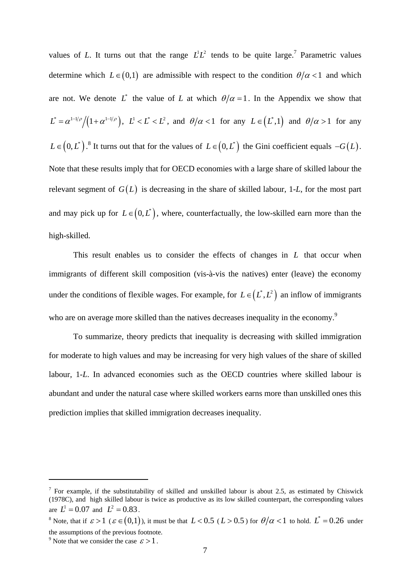values of *L*. It turns out that the range  $L^1 L^2$  tends to be quite large.<sup>7</sup> Parametric values determine which  $L \in (0,1)$  are admissible with respect to the condition  $\theta/\alpha < 1$  and which are not. We denote L<sup>\*</sup> the value of L at which  $\theta/\alpha = 1$ . In the Appendix we show that  $\int_{-L}^{L} = \frac{\alpha^{1-1/\rho}}{(1+\alpha^{1-1/\rho})}, \quad L^1 < L^* < L^2$ , and  $\theta/\alpha < 1$  for any  $L \in (L^*, 1)$  and  $\theta/\alpha > 1$  for any  $L \in (0, L^*)$ .<sup>8</sup> It turns out that for the values of  $L \in (0, L^*)$  the Gini coefficient equals  $-G(L)$ . Note that these results imply that for OECD economies with a large share of skilled labour the relevant segment of  $G(L)$  is decreasing in the share of skilled labour, 1-L, for the most part and may pick up for  $L \in (0, L^*)$ , where, counterfactually, the low-skilled earn more than the high-skilled.

 This result enables us to consider the effects of changes in *L* that occur when immigrants of different skill composition (vis-à-vis the natives) enter (leave) the economy under the conditions of flexible wages. For example, for  $L \in (L^*, L^2)$  an inflow of immigrants who are on average more skilled than the natives decreases inequality in the economy.<sup>9</sup>

 To summarize, theory predicts that inequality is decreasing with skilled immigration for moderate to high values and may be increasing for very high values of the share of skilled labour, 1-*L*. In advanced economies such as the OECD countries where skilled labour is abundant and under the natural case where skilled workers earns more than unskilled ones this prediction implies that skilled immigration decreases inequality.

 $\overline{a}$ 

<sup>&</sup>lt;sup>7</sup> For example, if the substitutability of skilled and unskilled labour is about 2.5, as estimated by Chiswick (1978C), and high skilled labour is twice as productive as its low skilled counterpart, the corresponding values are  $L^1 = 0.07$  and  $L^2 = 0.83$ .

<sup>&</sup>lt;sup>8</sup> Note, that if  $\varepsilon > 1$  ( $\varepsilon \in (0,1)$ ), it must be that  $L < 0.5$  ( $L > 0.5$ ) for  $\theta/\alpha < 1$  to hold.  $L^* = 0.26$  under the assumptions of the previous footnote.

<sup>&</sup>lt;sup>9</sup> Note that we consider the case  $\varepsilon > 1$ .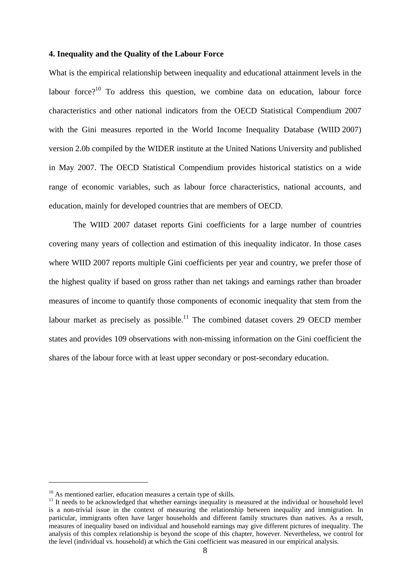#### **4. Inequality and the Quality of the Labour Force**

What is the empirical relationship between inequality and educational attainment levels in the labour force?<sup>10</sup> To address this question, we combine data on education, labour force characteristics and other national indicators from the OECD Statistical Compendium 2007 with the Gini measures reported in the World Income Inequality Database (WIID 2007) version 2.0b compiled by the WIDER institute at the United Nations University and published in May 2007. The OECD Statistical Compendium provides historical statistics on a wide range of economic variables, such as labour force characteristics, national accounts, and education, mainly for developed countries that are members of OECD.

 The WIID 2007 dataset reports Gini coefficients for a large number of countries covering many years of collection and estimation of this inequality indicator. In those cases where WIID 2007 reports multiple Gini coefficients per year and country, we prefer those of the highest quality if based on gross rather than net takings and earnings rather than broader measures of income to quantify those components of economic inequality that stem from the labour market as precisely as possible.<sup>11</sup> The combined dataset covers 29 OECD member states and provides 109 observations with non-missing information on the Gini coefficient the shares of the labour force with at least upper secondary or post-secondary education.

 $10$  As mentioned earlier, education measures a certain type of skills.

<sup>&</sup>lt;sup>11</sup> It needs to be acknowledged that whether earnings inequality is measured at the individual or household level is a non-trivial issue in the context of measuring the relationship between inequality and immigration. In particular, immigrants often have larger households and different family structures than natives. As a result, measures of inequality based on individual and household earnings may give different pictures of inequality. The analysis of this complex relationship is beyond the scope of this chapter, however. Nevertheless, we control for the level (individual vs. household) at which the Gini coefficient was measured in our empirical analysis.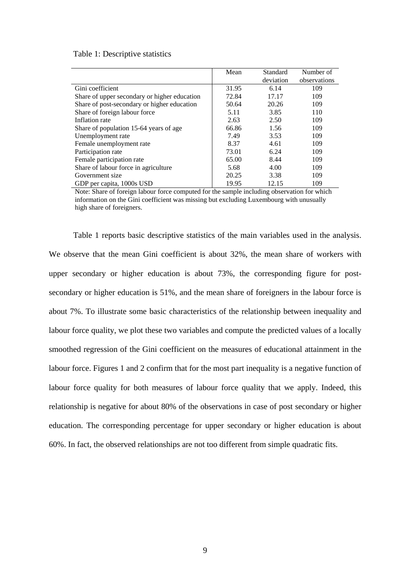#### Table 1: Descriptive statistics

|                                              | Mean  | Standard  | Number of    |
|----------------------------------------------|-------|-----------|--------------|
|                                              |       | deviation | observations |
| Gini coefficient                             | 31.95 | 6.14      | 109          |
| Share of upper secondary or higher education | 72.84 | 17.17     | 109          |
| Share of post-secondary or higher education  | 50.64 | 20.26     | 109          |
| Share of foreign labour force                | 5.11  | 3.85      | 110          |
| Inflation rate                               | 2.63  | 2.50      | 109          |
| Share of population 15-64 years of age       | 66.86 | 1.56      | 109          |
| Unemployment rate                            | 7.49  | 3.53      | 109          |
| Female unemployment rate                     | 8.37  | 4.61      | 109          |
| Participation rate                           | 73.01 | 6.24      | 109          |
| Female participation rate                    | 65.00 | 8.44      | 109          |
| Share of labour force in agriculture         | 5.68  | 4.00      | 109          |
| Government size                              | 20.25 | 3.38      | 109          |
| GDP per capita, 1000s USD                    | 19.95 | 12.15     | 109          |

Note: Share of foreign labour force computed for the sample including observation for which information on the Gini coefficient was missing but excluding Luxembourg with unusually high share of foreigners.

Table 1 reports basic descriptive statistics of the main variables used in the analysis. We observe that the mean Gini coefficient is about 32%, the mean share of workers with upper secondary or higher education is about 73%, the corresponding figure for postsecondary or higher education is 51%, and the mean share of foreigners in the labour force is about 7%. To illustrate some basic characteristics of the relationship between inequality and labour force quality, we plot these two variables and compute the predicted values of a locally smoothed regression of the Gini coefficient on the measures of educational attainment in the labour force. Figures 1 and 2 confirm that for the most part inequality is a negative function of labour force quality for both measures of labour force quality that we apply. Indeed, this relationship is negative for about 80% of the observations in case of post secondary or higher education. The corresponding percentage for upper secondary or higher education is about 60%. In fact, the observed relationships are not too different from simple quadratic fits.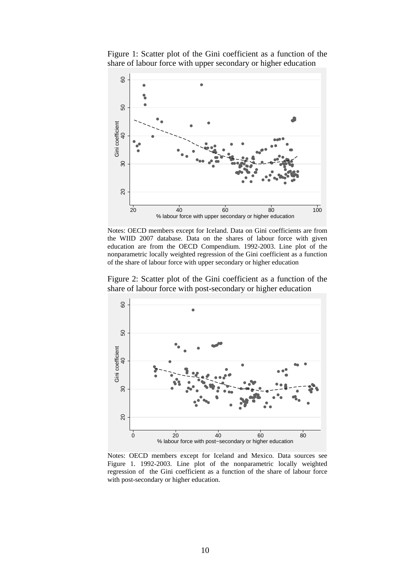Figure 1: Scatter plot of the Gini coefficient as a function of the share of labour force with upper secondary or higher education



Notes: OECD members except for Iceland. Data on Gini coefficients are from the WIID 2007 database. Data on the shares of labour force with given education are from the OECD Compendium. 1992-2003. Line plot of the nonparametric locally weighted regression of the Gini coefficient as a function of the share of labour force with upper secondary or higher education

Figure 2: Scatter plot of the Gini coefficient as a function of the share of labour force with post-secondary or higher education



Notes: OECD members except for Iceland and Mexico. Data sources see Figure 1. 1992-2003. Line plot of the nonparametric locally weighted regression of the Gini coefficient as a function of the share of labour force with post-secondary or higher education.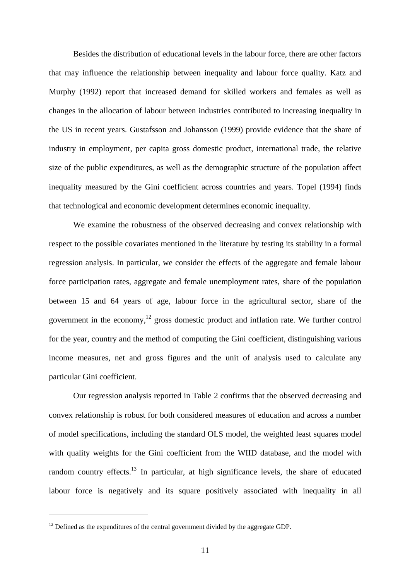Besides the distribution of educational levels in the labour force, there are other factors that may influence the relationship between inequality and labour force quality. Katz and Murphy (1992) report that increased demand for skilled workers and females as well as changes in the allocation of labour between industries contributed to increasing inequality in the US in recent years. Gustafsson and Johansson (1999) provide evidence that the share of industry in employment, per capita gross domestic product, international trade, the relative size of the public expenditures, as well as the demographic structure of the population affect inequality measured by the Gini coefficient across countries and years. Topel (1994) finds that technological and economic development determines economic inequality.

 We examine the robustness of the observed decreasing and convex relationship with respect to the possible covariates mentioned in the literature by testing its stability in a formal regression analysis. In particular, we consider the effects of the aggregate and female labour force participation rates, aggregate and female unemployment rates, share of the population between 15 and 64 years of age, labour force in the agricultural sector, share of the government in the economy, $12$  gross domestic product and inflation rate. We further control for the year, country and the method of computing the Gini coefficient, distinguishing various income measures, net and gross figures and the unit of analysis used to calculate any particular Gini coefficient.

 Our regression analysis reported in Table 2 confirms that the observed decreasing and convex relationship is robust for both considered measures of education and across a number of model specifications, including the standard OLS model, the weighted least squares model with quality weights for the Gini coefficient from the WIID database, and the model with random country effects.<sup>13</sup> In particular, at high significance levels, the share of educated labour force is negatively and its square positively associated with inequality in all

 $\overline{a}$ 

 $12$  Defined as the expenditures of the central government divided by the aggregate GDP.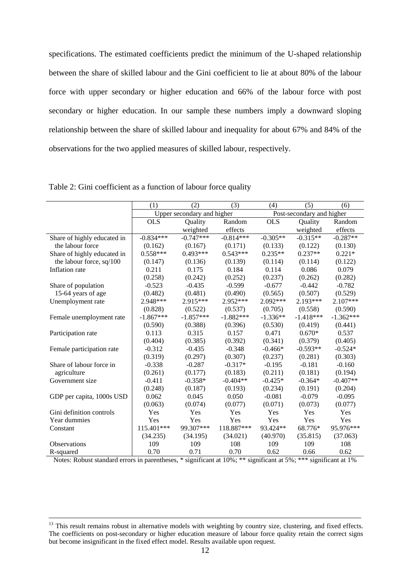specifications. The estimated coefficients predict the minimum of the U-shaped relationship between the share of skilled labour and the Gini coefficient to lie at about 80% of the labour force with upper secondary or higher education and 66% of the labour force with post secondary or higher education. In our sample these numbers imply a downward sloping relationship between the share of skilled labour and inequality for about 67% and 84% of the observations for the two applied measures of skilled labour, respectively.

|                             | (1)                        | (2)         | (3)         | (4)                       | (5)         | (6)         |  |
|-----------------------------|----------------------------|-------------|-------------|---------------------------|-------------|-------------|--|
|                             | Upper secondary and higher |             |             | Post-secondary and higher |             |             |  |
|                             | <b>OLS</b>                 | Quality     | Random      | <b>OLS</b>                | Quality     | Random      |  |
|                             |                            | weighted    | effects     |                           | weighted    | effects     |  |
| Share of highly educated in | $-0.834***$                | $-0.747***$ | $-0.814***$ | $-0.305**$                | $-0.315**$  | $-0.287**$  |  |
| the labour force            | (0.162)                    | (0.167)     | (0.171)     | (0.133)                   | (0.122)     | (0.130)     |  |
| Share of highly educated in | $0.558***$                 | $0.493***$  | $0.543***$  | $0.235**$                 | $0.237**$   | $0.221*$    |  |
| the labour force, sq/100    | (0.147)                    | (0.136)     | (0.139)     | (0.114)                   | (0.114)     | (0.122)     |  |
| Inflation rate              | 0.211                      | 0.175       | 0.184       | 0.114                     | 0.086       | 0.079       |  |
|                             | (0.258)                    | (0.242)     | (0.252)     | (0.237)                   | (0.262)     | (0.282)     |  |
| Share of population         | $-0.523$                   | $-0.435$    | $-0.599$    | $-0.677$                  | $-0.442$    | $-0.782$    |  |
| 15-64 years of age          | (0.482)                    | (0.481)     | (0.490)     | (0.565)                   | (0.507)     | (0.529)     |  |
| Unemployment rate           | 2.948***                   | 2.915***    | 2.952***    | 2.092***                  | 2.193***    | 2.107***    |  |
|                             | (0.828)                    | (0.522)     | (0.537)     | (0.705)                   | (0.558)     | (0.590)     |  |
| Female unemployment rate    | $-1.867***$                | $-1.857***$ | $-1.882***$ | $-1.336**$                | $-1.418***$ | $-1.362***$ |  |
|                             | (0.590)                    | (0.388)     | (0.396)     | (0.530)                   | (0.419)     | (0.441)     |  |
| Participation rate          | 0.113                      | 0.315       | 0.157       | 0.471                     | $0.670*$    | 0.537       |  |
|                             | (0.404)                    | (0.385)     | (0.392)     | (0.341)                   | (0.379)     | (0.405)     |  |
| Female participation rate   | $-0.312$                   | $-0.435$    | $-0.348$    | $-0.466*$                 | $-0.593**$  | $-0.524*$   |  |
|                             | (0.319)                    | (0.297)     | (0.307)     | (0.237)                   | (0.281)     | (0.303)     |  |
| Share of labour force in    | $-0.338$                   | $-0.287$    | $-0.317*$   | $-0.195$                  | $-0.181$    | $-0.160$    |  |
| agriculture                 | (0.261)                    | (0.177)     | (0.183)     | (0.211)                   | (0.181)     | (0.194)     |  |
| Government size             | $-0.411$                   | $-0.358*$   | $-0.404**$  | $-0.425*$                 | $-0.364*$   | $-0.407**$  |  |
|                             | (0.248)                    | (0.187)     | (0.193)     | (0.234)                   | (0.191)     | (0.204)     |  |
| GDP per capita, 1000s USD   | 0.062                      | 0.045       | 0.050       | $-0.081$                  | $-0.079$    | $-0.095$    |  |
|                             | (0.063)                    | (0.074)     | (0.077)     | (0.071)                   | (0.073)     | (0.077)     |  |
| Gini definition controls    | Yes                        | Yes         | Yes         | Yes                       | Yes         | Yes         |  |
| Year dummies                | Yes                        | Yes         | Yes         | Yes                       | Yes         | Yes         |  |
| Constant                    | 115.401***                 | 99.307***   | 118.887***  | 93.424**                  | 68.776*     | 95.976***   |  |
|                             | (34.235)                   | (34.195)    | (34.021)    | (40.970)                  | (35.815)    | (37.063)    |  |
| Observations                | 109                        | 109         | 108         | 109                       | 109         | 108         |  |
| R-squared                   | 0.70                       | 0.71        | 0.70        | 0.62                      | 0.66        | 0.62        |  |

Table 2: Gini coefficient as a function of labour force quality

Notes: Robust standard errors in parentheses, \* significant at 10%; \*\* significant at 5%; \*\*\* significant at 1%

<sup>&</sup>lt;sup>13</sup> This result remains robust in alternative models with weighting by country size, clustering, and fixed effects. The coefficients on post-secondary or higher education measure of labour force quality retain the correct signs but become insignificant in the fixed effect model. Results available upon request.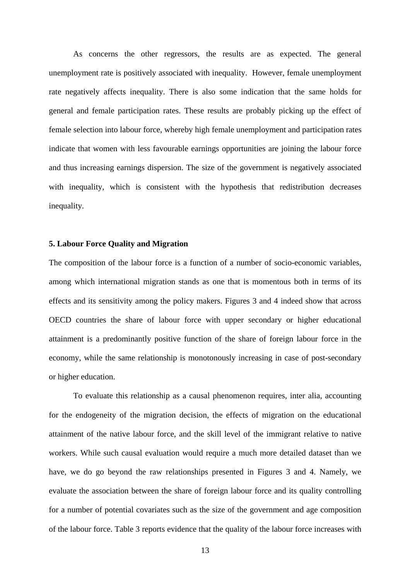As concerns the other regressors, the results are as expected. The general unemployment rate is positively associated with inequality. However, female unemployment rate negatively affects inequality. There is also some indication that the same holds for general and female participation rates. These results are probably picking up the effect of female selection into labour force, whereby high female unemployment and participation rates indicate that women with less favourable earnings opportunities are joining the labour force and thus increasing earnings dispersion. The size of the government is negatively associated with inequality, which is consistent with the hypothesis that redistribution decreases inequality.

#### **5. Labour Force Quality and Migration**

The composition of the labour force is a function of a number of socio-economic variables, among which international migration stands as one that is momentous both in terms of its effects and its sensitivity among the policy makers. Figures 3 and 4 indeed show that across OECD countries the share of labour force with upper secondary or higher educational attainment is a predominantly positive function of the share of foreign labour force in the economy, while the same relationship is monotonously increasing in case of post-secondary or higher education.

To evaluate this relationship as a causal phenomenon requires, inter alia, accounting for the endogeneity of the migration decision, the effects of migration on the educational attainment of the native labour force, and the skill level of the immigrant relative to native workers. While such causal evaluation would require a much more detailed dataset than we have, we do go beyond the raw relationships presented in Figures 3 and 4. Namely, we evaluate the association between the share of foreign labour force and its quality controlling for a number of potential covariates such as the size of the government and age composition of the labour force. Table 3 reports evidence that the quality of the labour force increases with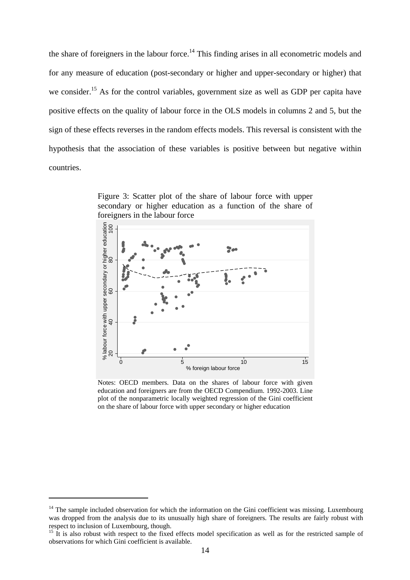the share of foreigners in the labour force.<sup>14</sup> This finding arises in all econometric models and for any measure of education (post-secondary or higher and upper-secondary or higher) that we consider.<sup>15</sup> As for the control variables, government size as well as GDP per capita have positive effects on the quality of labour force in the OLS models in columns 2 and 5, but the sign of these effects reverses in the random effects models. This reversal is consistent with the hypothesis that the association of these variables is positive between but negative within countries.

Figure 3: Scatter plot of the share of labour force with upper secondary or higher education as a function of the share of foreigners in the labour force



Notes: OECD members. Data on the shares of labour force with given education and foreigners are from the OECD Compendium. 1992-2003. Line plot of the nonparametric locally weighted regression of the Gini coefficient on the share of labour force with upper secondary or higher education

 $\overline{a}$ 

 $14$  The sample included observation for which the information on the Gini coefficient was missing. Luxembourg was dropped from the analysis due to its unusually high share of foreigners. The results are fairly robust with respect to inclusion of Luxembourg, though.

<sup>&</sup>lt;sup>15</sup> It is also robust with respect to the fixed effects model specification as well as for the restricted sample of observations for which Gini coefficient is available.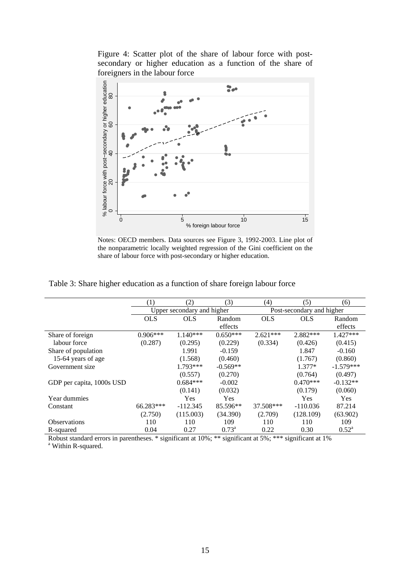Figure 4: Scatter plot of the share of labour force with postsecondary or higher education as a function of the share of foreigners in the labour force



Notes: OECD members. Data sources see Figure 3, 1992-2003. Line plot of the nonparametric locally weighted regression of the Gini coefficient on the share of labour force with post-secondary or higher education.

| Table 3: Share higher education as a function of share foreign labour force |  |  |  |
|-----------------------------------------------------------------------------|--|--|--|
|                                                                             |  |  |  |

|                           | (1)                        | (2)        | (3)            | (4)                       | (5)        | (6)            |  |
|---------------------------|----------------------------|------------|----------------|---------------------------|------------|----------------|--|
|                           | Upper secondary and higher |            |                | Post-secondary and higher |            |                |  |
|                           | <b>OLS</b>                 | <b>OLS</b> | Random         | <b>OLS</b>                | <b>OLS</b> | Random         |  |
|                           |                            |            | effects        |                           |            | effects        |  |
| Share of foreign          | $0.906***$                 | 1.140***   | $0.650***$     | $2.621***$                | 2.882***   | 1.427***       |  |
| labour force              | (0.287)                    | (0.295)    | (0.229)        | (0.334)                   | (0.426)    | (0.415)        |  |
| Share of population       |                            | 1.991      | $-0.159$       |                           | 1.847      | $-0.160$       |  |
| 15-64 years of age        |                            | (1.568)    | (0.460)        |                           | (1.767)    | (0.860)        |  |
| Government size           |                            | 1.793***   | $-0.569**$     |                           | $1.377*$   | $-1.579***$    |  |
|                           |                            | (0.557)    | (0.270)        |                           | (0.764)    | (0.497)        |  |
| GDP per capita, 1000s USD |                            | $0.684***$ | $-0.002$       |                           | $0.470***$ | $-0.132**$     |  |
|                           |                            | (0.141)    | (0.032)        |                           | (0.179)    | (0.060)        |  |
| Year dummies              |                            | <b>Yes</b> | Yes            |                           | Yes        | <b>Yes</b>     |  |
| Constant                  | 66.283***                  | $-112.345$ | 85.596**       | 37.508***                 | $-110.036$ | 87.214         |  |
|                           | (2.750)                    | (115.003)  | (34.390)       | (2.709)                   | (128.109)  | (63.902)       |  |
| <b>Observations</b>       | 110                        | 110        | 109            | 110                       | 110        | 109            |  |
| R-squared                 | 0.04                       | 0.27       | $0.73^{\rm a}$ | 0.22                      | 0.30       | $0.52^{\rm a}$ |  |

Robust standard errors in parentheses. \* significant at 10%; \*\* significant at 5%; \*\*\* significant at 1%

<sup>a</sup> Within R-squared.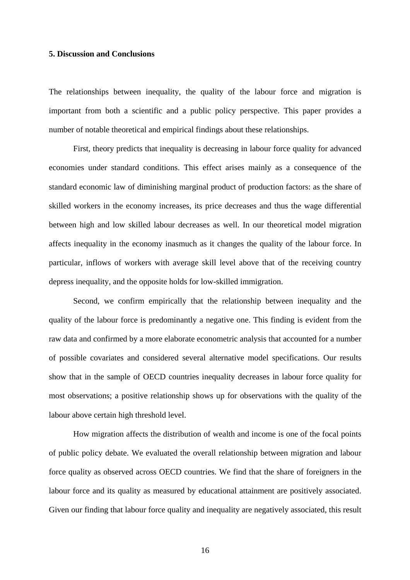#### **5. Discussion and Conclusions**

The relationships between inequality, the quality of the labour force and migration is important from both a scientific and a public policy perspective. This paper provides a number of notable theoretical and empirical findings about these relationships.

First, theory predicts that inequality is decreasing in labour force quality for advanced economies under standard conditions. This effect arises mainly as a consequence of the standard economic law of diminishing marginal product of production factors: as the share of skilled workers in the economy increases, its price decreases and thus the wage differential between high and low skilled labour decreases as well. In our theoretical model migration affects inequality in the economy inasmuch as it changes the quality of the labour force. In particular, inflows of workers with average skill level above that of the receiving country depress inequality, and the opposite holds for low-skilled immigration.

 Second, we confirm empirically that the relationship between inequality and the quality of the labour force is predominantly a negative one. This finding is evident from the raw data and confirmed by a more elaborate econometric analysis that accounted for a number of possible covariates and considered several alternative model specifications. Our results show that in the sample of OECD countries inequality decreases in labour force quality for most observations; a positive relationship shows up for observations with the quality of the labour above certain high threshold level.

 How migration affects the distribution of wealth and income is one of the focal points of public policy debate. We evaluated the overall relationship between migration and labour force quality as observed across OECD countries. We find that the share of foreigners in the labour force and its quality as measured by educational attainment are positively associated. Given our finding that labour force quality and inequality are negatively associated, this result

16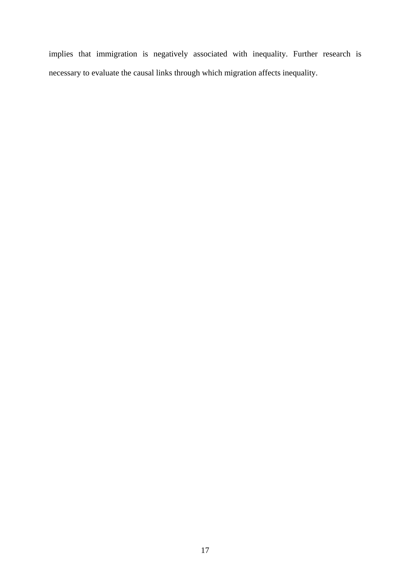implies that immigration is negatively associated with inequality. Further research is necessary to evaluate the causal links through which migration affects inequality.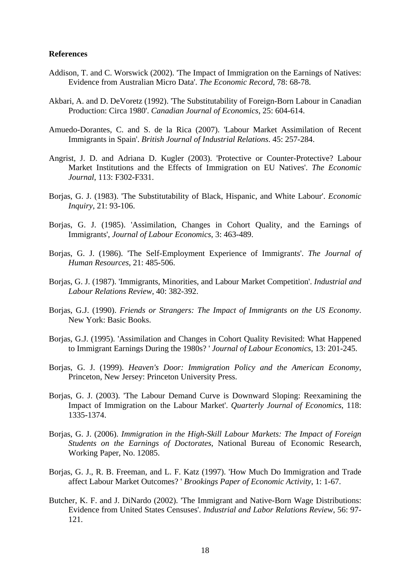#### **References**

- Addison, T. and C. Worswick (2002). 'The Impact of Immigration on the Earnings of Natives: Evidence from Australian Micro Data'. *The Economic Record*, 78: 68-78.
- Akbari, A. and D. DeVoretz (1992). 'The Substitutability of Foreign-Born Labour in Canadian Production: Circa 1980'. *Canadian Journal of Economics*, 25: 604-614.
- Amuedo-Dorantes, C. and S. de la Rica (2007). 'Labour Market Assimilation of Recent Immigrants in Spain'. *British Journal of Industrial Relations*. 45: 257-284.
- Angrist, J. D. and Adriana D. Kugler (2003). 'Protective or Counter-Protective? Labour Market Institutions and the Effects of Immigration on EU Natives'. *The Economic Journal*, 113: F302-F331.
- Borjas, G. J. (1983). 'The Substitutability of Black, Hispanic, and White Labour'. *Economic Inquiry*, 21: 93-106.
- Borjas, G. J. (1985). 'Assimilation, Changes in Cohort Quality, and the Earnings of Immigrants', *Journal of Labour Economics*, 3: 463-489.
- Borjas, G. J. (1986). 'The Self-Employment Experience of Immigrants'. *The Journal of Human Resources*, 21: 485-506.
- Borjas, G. J. (1987). 'Immigrants, Minorities, and Labour Market Competition'. *Industrial and Labour Relations Review*, 40: 382-392.
- Borjas, G.J. (1990). *Friends or Strangers: The Impact of Immigrants on the US Economy*. New York: Basic Books.
- Borjas, G.J. (1995). 'Assimilation and Changes in Cohort Quality Revisited: What Happened to Immigrant Earnings During the 1980s? ' *Journal of Labour Economics*, 13: 201-245.
- Borjas, G. J. (1999). *Heaven's Door: Immigration Policy and the American Economy*, Princeton, New Jersey: Princeton University Press.
- Borjas, G. J. (2003). 'The Labour Demand Curve is Downward Sloping: Reexamining the Impact of Immigration on the Labour Market'. *Quarterly Journal of Economics*, 118: 1335-1374.
- Borias, G. J. (2006). *Immigration in the High-Skill Labour Markets: The Impact of Foreign Students on the Earnings of Doctorates*, National Bureau of Economic Research, Working Paper, No. 12085.
- Borjas, G. J., R. B. Freeman, and L. F. Katz (1997). 'How Much Do Immigration and Trade affect Labour Market Outcomes? ' *Brookings Paper of Economic Activity*, 1: 1-67.
- Butcher, K. F. and J. DiNardo (2002). 'The Immigrant and Native-Born Wage Distributions: Evidence from United States Censuses'. *Industrial and Labor Relations Review*, 56: 97- 121.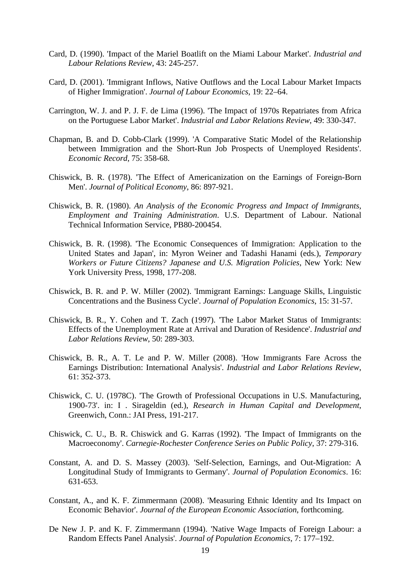- Card, D. (1990). 'Impact of the Mariel Boatlift on the Miami Labour Market'. *Industrial and Labour Relations Review*, 43: 245-257.
- Card, D. (2001). 'Immigrant Inflows, Native Outflows and the Local Labour Market Impacts of Higher Immigration'. *Journal of Labour Economics*, 19: 22–64.
- Carrington, W. J. and P. J. F. de Lima (1996). 'The Impact of 1970s Repatriates from Africa on the Portuguese Labor Market'. *Industrial and Labor Relations Review*, 49: 330-347.
- Chapman, B. and D. Cobb-Clark (1999). 'A Comparative Static Model of the Relationship between Immigration and the Short-Run Job Prospects of Unemployed Residents'. *Economic Record*, 75: 358-68.
- Chiswick, B. R. (1978). 'The Effect of Americanization on the Earnings of Foreign-Born Men'. *Journal of Political Economy*, 86: 897-921.
- Chiswick, B. R. (1980). *An Analysis of the Economic Progress and Impact of Immigrants, Employment and Training Administration*. U.S. Department of Labour. National Technical Information Service, PB80-200454.
- Chiswick, B. R. (1998). 'The Economic Consequences of Immigration: Application to the United States and Japan', in: Myron Weiner and Tadashi Hanami (eds*.*), *Temporary Workers or Future Citizens? Japanese and U.S. Migration Policies*, New York: New York University Press, 1998, 177-208.
- Chiswick, B. R. and P. W. Miller (2002). 'Immigrant Earnings: Language Skills, Linguistic Concentrations and the Business Cycle'. *Journal of Population Economics*, 15: 31-57.
- Chiswick, B. R., Y. Cohen and T. Zach (1997). 'The Labor Market Status of Immigrants: Effects of the Unemployment Rate at Arrival and Duration of Residence'. *Industrial and Labor Relations Review*, 50: 289-303.
- Chiswick, B. R., A. T. Le and P. W. Miller (2008). 'How Immigrants Fare Across the Earnings Distribution: International Analysis'. *Industrial and Labor Relations Review*, 61: 352-373.
- Chiswick, C. U. (1978C). 'The Growth of Professional Occupations in U.S. Manufacturing, 1900-73'. in: I . Sirageldin (ed.), *Research in Human Capital and Development*, Greenwich, Conn.: JAI Press, 191-217.
- Chiswick, C. U., B. R. Chiswick and G. Karras (1992). 'The Impact of Immigrants on the Macroeconomy'. *Carnegie-Rochester Conference Series on Public Policy*, 37: 279-316.
- Constant, A. and D. S. Massey (2003). 'Self-Selection, Earnings, and Out-Migration: A Longitudinal Study of Immigrants to Germany'. *Journal of Population Economics*. 16: 631-653.
- Constant, A., and K. F. Zimmermann (2008). 'Measuring Ethnic Identity and Its Impact on Economic Behavior'. *Journal of the European Economic Association*, forthcoming.
- De New J. P. and K. F. Zimmermann (1994). 'Native Wage Impacts of Foreign Labour: a Random Effects Panel Analysis'. *Journal of Population Economics*, 7: 177–192.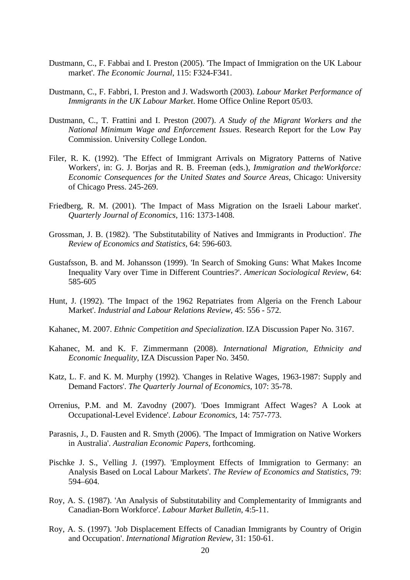- Dustmann, C., F. Fabbai and I. Preston (2005). 'The Impact of Immigration on the UK Labour market'. *The Economic Journal*, 115: F324-F341.
- Dustmann, C., F. Fabbri, I. Preston and J. Wadsworth (2003). *Labour Market Performance of Immigrants in the UK Labour Market*. Home Office Online Report 05/03.
- Dustmann, C., T. Frattini and I. Preston (2007). *A Study of the Migrant Workers and the National Minimum Wage and Enforcement Issues*. Research Report for the Low Pay Commission. University College London.
- Filer, R. K. (1992). 'The Effect of Immigrant Arrivals on Migratory Patterns of Native Workers', in: G. J. Borjas and R. B. Freeman (eds.), *Immigration and theWorkforce: Economic Consequences for the United States and Source Areas*, Chicago: University of Chicago Press. 245-269.
- Friedberg, R. M. (2001). 'The Impact of Mass Migration on the Israeli Labour market'. *Quarterly Journal of Economics*, 116: 1373-1408.
- Grossman, J. B. (1982). 'The Substitutability of Natives and Immigrants in Production'. *The Review of Economics and Statistics*, 64: 596-603.
- Gustafsson, B. and M. Johansson (1999). 'In Search of Smoking Guns: What Makes Income Inequality Vary over Time in Different Countries?'. *American Sociological Review,* 64: 585-605
- Hunt, J. (1992). 'The Impact of the 1962 Repatriates from Algeria on the French Labour Market'. *Industrial and Labour Relations Review*, 45: 556 - 572.
- Kahanec, M. 2007. *Ethnic Competition and Specialization*. IZA Discussion Paper No. 3167.
- Kahanec, M. and K. F. Zimmermann (2008). *International Migration, Ethnicity and Economic Inequality*, IZA Discussion Paper No. 3450.
- Katz, L. F. and K. M. Murphy (1992). 'Changes in Relative Wages, 1963-1987: Supply and Demand Factors'. *The Quarterly Journal of Economics*, 107: 35-78.
- Orrenius, P.M. and M. Zavodny (2007). 'Does Immigrant Affect Wages? A Look at Occupational-Level Evidence'. *Labour Economics*, 14: 757-773.
- Parasnis, J., D. Fausten and R. Smyth (2006). 'The Impact of Immigration on Native Workers in Australia'. *Australian Economic Papers*, forthcoming.
- Pischke J. S., Velling J. (1997). 'Employment Effects of Immigration to Germany: an Analysis Based on Local Labour Markets'. *The Review of Economics and Statistics*, 79: 594–604.
- Roy, A. S. (1987). 'An Analysis of Substitutability and Complementarity of Immigrants and Canadian-Born Workforce'. *Labour Market Bulletin*, 4:5-11.
- Roy, A. S. (1997). 'Job Displacement Effects of Canadian Immigrants by Country of Origin and Occupation'. *International Migration Review*, 31: 150-61.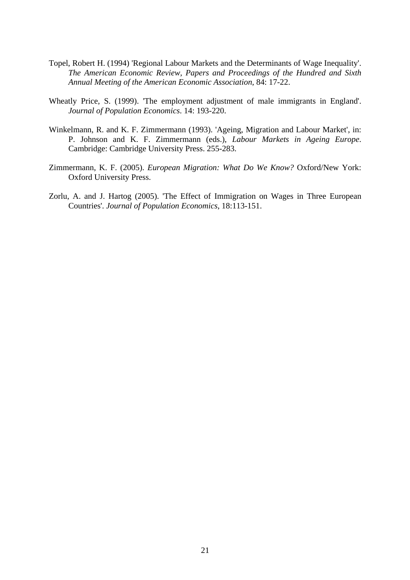- Topel, Robert H. (1994) 'Regional Labour Markets and the Determinants of Wage Inequality'. *The American Economic Review, Papers and Proceedings of the Hundred and Sixth Annual Meeting of the American Economic Association*, 84: 17-22.
- Wheatly Price, S. (1999). 'The employment adjustment of male immigrants in England'. *Journal of Population Economics*. 14: 193-220.
- Winkelmann, R. and K. F. Zimmermann (1993). 'Ageing, Migration and Labour Market', in: P. Johnson and K. F. Zimmermann (eds.), *Labour Markets in Ageing Europe*. Cambridge: Cambridge University Press. 255-283.
- Zimmermann, K. F. (2005). *European Migration: What Do We Know?* Oxford/New York: Oxford University Press.
- Zorlu, A. and J. Hartog (2005). 'The Effect of Immigration on Wages in Three European Countries'. *Journal of Population Economics*, 18:113-151.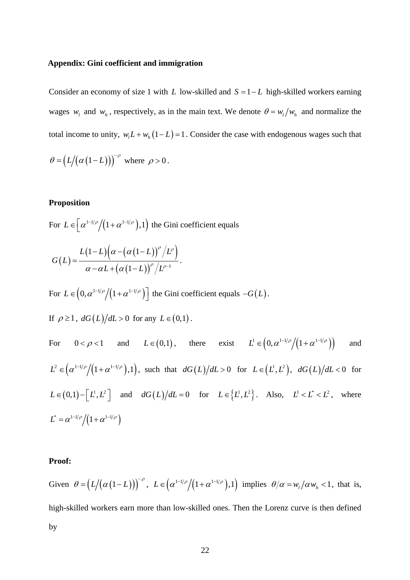#### **Appendix: Gini coefficient and immigration**

Consider an economy of size 1 with *L* low-skilled and  $S = 1 - L$  high-skilled workers earning wages  $w_l$  and  $w_h$ , respectively, as in the main text. We denote  $\theta = w_l/w_h$  and normalize the total income to unity,  $w_l L + w_h (1 - L) = 1$ . Consider the case with endogenous wages such that

$$
\theta = \left( L/(\alpha(1-L)) \right)^{-\rho} \text{ where } \rho > 0.
$$

#### **Proposition**

For  $L \in \left[ \frac{\alpha^{1-1/\rho}}{(1+\alpha^{1-1/\rho})}, 1 \right)$  the Gini coefficient equals

$$
G(L) = \frac{L(1-L)\left(\alpha - \left(\alpha(1-L)\right)^{\rho}/L^{\rho}\right)}{\alpha - \alpha L + \left(\alpha(1-L)\right)^{\rho}/L^{\rho-1}}.
$$

For  $L \in (0, \alpha^{1-1/\rho} / (1 + \alpha^{1-1/\rho})]$  the Gini coefficient equals  $-G(L)$ .

If 
$$
\rho \ge 1
$$
,  $dG(L)/dL > 0$  for any  $L \in (0,1)$ .

For 
$$
0 < \rho < 1
$$
 and  $L \in (0,1)$ , there exist  $L^1 \in (0, \alpha^{1-1/\rho}/(1+\alpha^{1-1/\rho}))$  and  
\n $L^2 \in (\alpha^{1-1/\rho}/(1+\alpha^{1-1/\rho}),1)$ , such that  $dG(L)/dL > 0$  for  $L \in (L^1, L^2)$ ,  $dG(L)/dL < 0$  for  
\n $L \in (0,1)-[L^1, L^2]$  and  $dG(L)/dL = 0$  for  $L \in \{L^1, L^2\}$ . Also,  $L^1 < L^* < L^2$ , where  
\n $L^* = \alpha^{1-1/\rho}/(1+\alpha^{1-1/\rho})$ 

#### **Proof:**

Given  $\theta = (L/(\alpha(1-L)))^{-\rho}$ ,  $L \in (\alpha^{1-1/\rho}/(1+\alpha^{1-1/\rho}),1)$  implies  $\theta/\alpha = w_1/\alpha w_2 < 1$ , that is, high-skilled workers earn more than low-skilled ones. Then the Lorenz curve is then defined by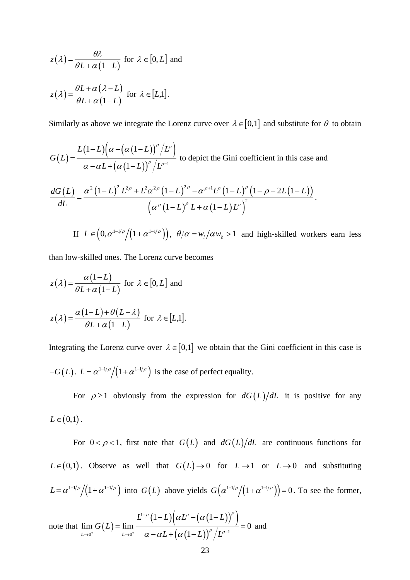$$
z(\lambda) = \frac{\theta \lambda}{\theta L + \alpha (1 - L)}
$$
 for  $\lambda \in [0, L]$  and  

$$
z(\lambda) = \frac{\theta L + \alpha (\lambda - L)}{\theta L + \alpha (1 - L)}
$$
 for  $\lambda \in [L, 1]$ .

Similarly as above we integrate the Lorenz curve over  $\lambda \in [0,1]$  and substitute for  $\theta$  to obtain

$$
G(L) = \frac{L(1-L)\left(\alpha - (\alpha(1-L))^{\rho}/L^{\rho}\right)}{\alpha - \alpha L + (\alpha(1-L))^{\rho}/L^{\rho-1}}
$$
 to depict the Gini coefficient in this case and

$$
\frac{dG(L)}{dL} = \frac{\alpha^2 (1 - L)^2 L^{2\rho} + L^2 \alpha^{2\rho} (1 - L)^{2\rho} - \alpha^{\rho+1} L^{\rho} (1 - L)^{\rho} (1 - \rho - 2L(1 - L))}{\left(\alpha^{\rho} (1 - L)^{\rho} L + \alpha (1 - L) L^{\rho}\right)^2}.
$$

If  $L \in ( 0, \alpha^{1-1/\rho} / ( 1 + \alpha^{1-1/\rho} ) )$ ,  $\theta/\alpha = w_{1}/\alpha w_{h} > 1$  and high-skilled workers earn less

than low-skilled ones. The Lorenz curve becomes

$$
z(\lambda) = \frac{\alpha(1-L)}{\theta L + \alpha(1-L)} \text{ for } \lambda \in [0, L] \text{ and}
$$

$$
z(\lambda) = \frac{\alpha(1-L) + \theta(L-\lambda)}{\theta L + \alpha(1-L)} \text{ for } \lambda \in [L,1].
$$

Integrating the Lorenz curve over  $\lambda \in [0,1]$  we obtain that the Gini coefficient in this case is  $-G(L)$ .  $L = \alpha^{1-1/\rho}/(1+\alpha^{1-1/\rho})$  is the case of perfect equality.

For  $\rho \ge 1$  obviously from the expression for  $dG(L)/dL$  it is positive for any  $L \in (0,1)$ .

For  $0 < \rho < 1$ , first note that  $G(L)$  and  $dG(L)/dL$  are continuous functions for  $L \in (0,1)$ . Observe as well that  $G(L) \to 0$  for  $L \to 1$  or  $L \to 0$  and substituting  $L = \alpha^{1-1/\rho} / (1 + \alpha^{1-1/\rho})$  into  $G(L)$  above yields  $G(\alpha^{1-1/\rho} / (1 + \alpha^{1-1/\rho})) = 0$ . To see the former,

note that  $\lim G(L) = \lim \frac{L^{1-\rho}(1-L) (\alpha L^{\rho} - (\alpha (1-L))^{\rho})}{(1-\alpha)(\alpha L^{\rho} - \alpha L^{\rho})^{\rho}}$  $(\alpha (1-L))$ 1  $0^+$   $(1-t)^{\rho}$   $L \rightarrow 0^+$   $\alpha - \alpha L + (\alpha (1-L))^{\rho} / L^{\rho-1}$  $(1-L)|\alpha L^{\rho} - |\alpha|$  $\lim G(L) = \lim$   $\frac{1}{\lim_{t \to 0} \frac{1}{t}} = 0$  $L \rightarrow 0^+$   $L \rightarrow 0^+$   $\alpha - \alpha L + (\alpha)$  $L^{1-\rho}(1-L)|\alpha L^{\rho}$  –  $(\alpha(1-L))$ *G L*  $L + (\alpha(1-L))^{\nu}/L$  $\rho$  (1  $I \cap \{ \alpha I^{\rho} \mid \alpha (1 I) \}^{\rho}$  $ρ$  |  $τρ$  $\alpha$   $\mu$  -  $\alpha$  $\alpha - \alpha L + \alpha$ −  $\rightarrow$ <sup>0+</sup>  $L \rightarrow 0^+$   $\alpha - \alpha L + (\alpha (1-L))^{\rho}/L^{\rho-1}$  $-L$ ) $\alpha L^{\rho}$  –  $\alpha$ (1–  $=\lim_{L\to 0^+}\frac{(-1)^k(L+L)}{\alpha-\alpha L+(\alpha(1-L))^{\alpha/2}}=0$  and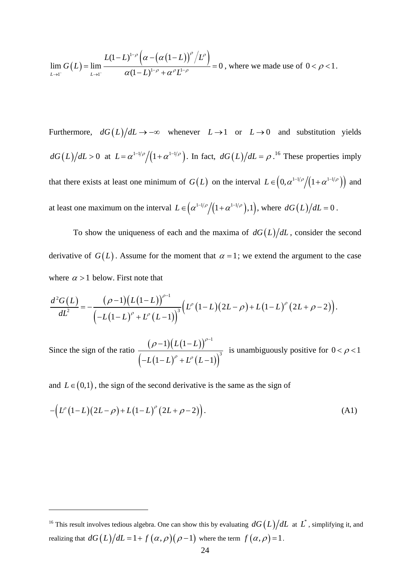$$
\lim_{L\to 1^-} G(L) = \lim_{L\to 1^-} \frac{L(1-L)^{1-\rho} \left(\alpha - \left(\alpha (1-L)\right)^{\rho} / L^{\rho}\right)}{\alpha (1-L)^{1-\rho} + \alpha^{\rho} L^{1-\rho}} = 0
$$
, where we made use of  $0 < \rho < 1$ .

Furthermore,  $dG(L)/dL \rightarrow -\infty$  whenever  $L \rightarrow 1$  or  $L \rightarrow 0$  and substitution yields  $dG(L)/dL > 0$  at  $L = \alpha^{1-1/\rho}/(1+\alpha^{1-1/\rho})$ . In fact,  $dG(L)/dL = \rho$ .<sup>16</sup> These properties imply that there exists at least one minimum of  $G(L)$  on the interval  $L \in (0, \alpha^{1-1/\rho} / (1+\alpha^{1-1/\rho}))$  and at least one maximum on the interval  $L \in (\alpha^{1-1/\rho} / (1 + \alpha^{1-1/\rho}), 1)$ , where  $dG(L) / dL = 0$ .

To show the uniqueness of each and the maxima of  $dG(L)/dL$ , consider the second derivative of  $G(L)$ . Assume for the moment that  $\alpha = 1$ ; we extend the argument to the case where  $\alpha > 1$  below. First note that

$$
\frac{d^2G(L)}{dL^2} = -\frac{(\rho-1)(L(1-L))^{\rho-1}}{(-L(1-L)^{\rho} + L^{\rho} (L-1))^{3}} \Big( L^{\rho} (1-L)(2L-\rho) + L(1-L)^{\rho} (2L+\rho-2) \Big).
$$

Since the sign of the ratio  $\frac{(\rho-1)(L(1-L))}{L}$  $\left( -L(1-L)^{\nu}+L^{\rho}\left( L-1\right) \right)$ 1 3  $1)(L(1)$  $(1-L)^{\rho} + L^{\rho} (L-1)$  $L(1-L$  $L(1-L)^{\rho}+L^{\rho}(L)$ ρ  $ρ$  <sub>1</sub>  $p$  $(\rho - 1)(L(1-L))^{\rho-1}$  $-L(1-L)^{\rho}+L^{\rho}\left(L-L\right)$ is unambiguously positive for  $0 < \rho < 1$ 

and  $L \in (0,1)$ , the sign of the second derivative is the same as the sign of

 $\overline{a}$ 

$$
-\left(L^{p}(1-L)(2L-\rho)+L(1-L)^{p}(2L+\rho-2)\right).
$$
 (A1)

<sup>&</sup>lt;sup>16</sup> This result involves tedious algebra. One can show this by evaluating  $dG(L)/dL$  at  $L^*$ , simplifying it, and realizing that  $dG(L)/dL = 1 + f(\alpha, \rho)(\rho - 1)$  where the term  $f(\alpha, \rho) = 1$ .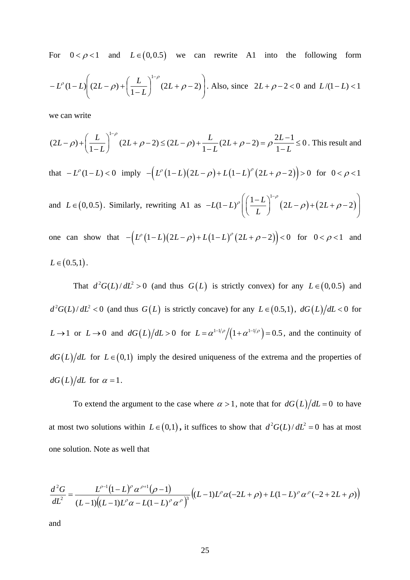For  $0 < \rho < 1$  and  $L \in (0, 0.5)$  we can rewrite A1 into the following form

$$
-L^{\rho}(1-L)\left((2L-\rho)+\left(\frac{L}{1-L}\right)^{1-\rho}(2L+\rho-2)\right).
$$
 Also, since  $2L+\rho-2<0$  and  $L/(1-L)<1$ 

we can write

$$
(2L - \rho) + \left(\frac{L}{1 - L}\right)^{1 - \rho} (2L + \rho - 2) \le (2L - \rho) + \frac{L}{1 - L} (2L + \rho - 2) = \rho \frac{2L - 1}{1 - L} \le 0.
$$
 This result and  
that  $-L^{\rho}(1 - L) < 0$  imply  $- \left(L^{\rho}(1 - L)(2L - \rho) + L(1 - L)^{\rho}\left((2L + \rho - 2)\right)\right) > 0$  for  $0 < \rho < 1$   
and  $L \in (0, 0.5)$ . Similarly, rewriting A1 as  $-L(1 - L)^{\rho} \left(\left(\frac{1 - L}{L}\right)^{1 - \rho}(2L - \rho) + (2L + \rho - 2)\right)$   
one can show that  $- \left(L^{\rho}(1 - L)(2L - \rho) + L(1 - L)^{\rho}(2L + \rho - 2)\right) < 0$  for  $0 < \rho < 1$  and

$$
L\in(0.5,1).
$$

That  $d^2 G(L)/dL^2 > 0$  (and thus  $G(L)$  is strictly convex) for any  $L \in (0,0.5)$  and  $d^2 G(L)/dL^2 < 0$  (and thus  $G(L)$  is strictly concave) for any  $L \in (0.5,1)$ ,  $dG(L)/dL < 0$  for *L* → 1 or *L* → 0 and  $dG(L)/dL > 0$  for  $L = \alpha^{1-1/\rho}/(1+\alpha^{1-1/\rho}) = 0.5$ , and the continuity of  $dG(L)/dL$  for  $L \in (0,1)$  imply the desired uniqueness of the extrema and the properties of  $dG(L)/dL$  for  $\alpha = 1$ .

To extend the argument to the case where  $\alpha > 1$ , note that for  $dG(L)/dL = 0$  to have at most two solutions within  $L \in (0,1)$ , it suffices to show that  $d^2 G(L)/dL^2 = 0$  has at most one solution. Note as well that

$$
\frac{d^2G}{dL^2} = \frac{L^{\rho-1}(1-L)^\rho \alpha^{\rho+1}(\rho-1)}{(L-1)(L-1)L^\rho \alpha - L(1-L)^\rho \alpha^\rho} \Big( (L-1)L^\rho \alpha^{\rho-2} - L(1-L)^\rho \alpha^{\rho-1} - L(1-L)^\rho \alpha^{\rho-1} - L(1-L)^\rho \alpha^{\rho-1} - L(1-L)^\rho \alpha^{\rho-1} - L(1-L)^\rho \alpha^{\rho-1} - L(1-L)^\rho \alpha^{\rho-1} - L(1-L)^\rho \alpha^{\rho-1} - L(1-L)^\rho \alpha^{\rho-1} - L(1-L)^\rho \alpha^{\rho-1} - L(1-L)^\rho \alpha^{\rho-1} - L(1-L)^\rho \alpha^{\rho-1} - L(1-L)^\rho \alpha^{\rho-1} - L(1-L)^\rho \alpha^{\rho-1} - L(1-L)^\rho \alpha^{\rho-1} - L(1-L)^\rho \alpha^{\rho-1} - L(1-L)^\rho \alpha^{\rho-1} - L(1-L)^\rho \alpha^{\rho-1} - L(1-L)^\rho \alpha^{\rho-1} - L(1-L)^\rho \alpha^{\rho-1} - L(1-L)^\rho \alpha^{\rho-1} - L(1-L)^\rho \alpha^{\rho-1} - L(1-L)^\rho \alpha^{\rho-1} - L(1-L)^\rho \alpha^{\rho-1} - L(1-L)^\rho \alpha^{\rho-1} - L(1-L)^\rho \alpha^{\rho-1} - L(1-L)^\rho \alpha^{\rho-1} - L(1-L)^\rho \alpha^{\rho-1} - L(1-L)^\rho \alpha^{\rho-1} - L(1-L)^\rho \alpha^{\rho-1} - L(1-L)^\rho \alpha^{\rho-1} - L(1-L)^\rho \alpha^{\rho-1} - L(1-L)^\rho \alpha^{\rho-1} - L(1-L)^\rho \alpha^{\rho-1} - L(1-L)^\rho \alpha^{\rho-1} - L(1-L)^\rho \alpha^{\rho-1} - L(1-L)^\rho \alpha^{\rho-1} - L(1-L)^\rho \alpha^{\rho-1} - L(1-L)^\rho \alpha^{\rho-1} - L(1-L)^\rho \alpha^{\rho-1} - L(1-L)^\rho \alpha^{\rho-1} - L(1-L)^\rho \alpha^{\rho-1} - L(1-L)^\rho \alpha^{\rho-1} - L
$$

and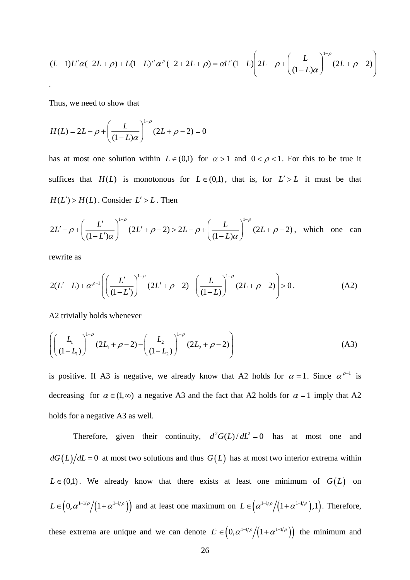$$
(L-1)L^{\rho}\alpha(-2L+\rho) + L(1-L)^{\rho}\alpha^{\rho}(-2+2L+\rho) = \alpha L^{\rho}(1-L)\left(2L-\rho+\left(\frac{L}{(1-L)\alpha}\right)^{1-\rho}(2L+\rho-2)\right)
$$

Thus, we need to show that

$$
H(L) = 2L - \rho + \left(\frac{L}{(1-L)\alpha}\right)^{1-\rho} (2L + \rho - 2) = 0
$$

has at most one solution within  $L \in (0,1)$  for  $\alpha > 1$  and  $0 < \rho < 1$ . For this to be true it suffices that  $H(L)$  is monotonous for  $L \in (0,1)$ , that is, for  $L' > L$  it must be that  $H(L') > H(L)$ . Consider  $L' > L$ . Then

$$
2L' - \rho + \left(\frac{L'}{(1-L')\alpha}\right)^{1-\rho} (2L' + \rho - 2) > 2L - \rho + \left(\frac{L}{(1-L)\alpha}\right)^{1-\rho} (2L + \rho - 2), \text{ which one can}
$$

rewrite as

$$
2(L'-L) + \alpha^{\rho-1} \left( \left( \frac{L'}{(1-L')} \right)^{1-\rho} (2L' + \rho - 2) - \left( \frac{L}{(1-L)} \right)^{1-\rho} (2L + \rho - 2) \right) > 0. \tag{A2}
$$

A2 trivially holds whenever

$$
\left( \left( \frac{L_1}{(1 - L_1)} \right)^{1 - \rho} (2L_1 + \rho - 2) - \left( \frac{L_2}{(1 - L_2)} \right)^{1 - \rho} (2L_2 + \rho - 2) \right)
$$
 (A3)

is positive. If A3 is negative, we already know that A2 holds for  $\alpha = 1$ . Since  $\alpha^{\rho-1}$  is decreasing for  $\alpha \in (1, \infty)$  a negative A3 and the fact that A2 holds for  $\alpha = 1$  imply that A2 holds for a negative A3 as well.

Therefore, given their continuity,  $d^2 G(L)/dL^2 = 0$  has at most one and  $dG(L)/dL = 0$  at most two solutions and thus  $G(L)$  has at most two interior extrema within  $L \in (0,1)$ . We already know that there exists at least one minimum of  $G(L)$  on  $L \in ( 0, \alpha^{1-1/\rho} / (1+\alpha^{1-1/\rho}) )$  and at least one maximum on  $L \in (\alpha^{1-1/\rho} / (1+\alpha^{1-1/\rho}) , 1 )$ . Therefore, these extrema are unique and we can denote  $L^1 \in ( 0, \alpha^{1-1/\rho} / (1 + \alpha^{1-1/\rho}))$  the minimum and